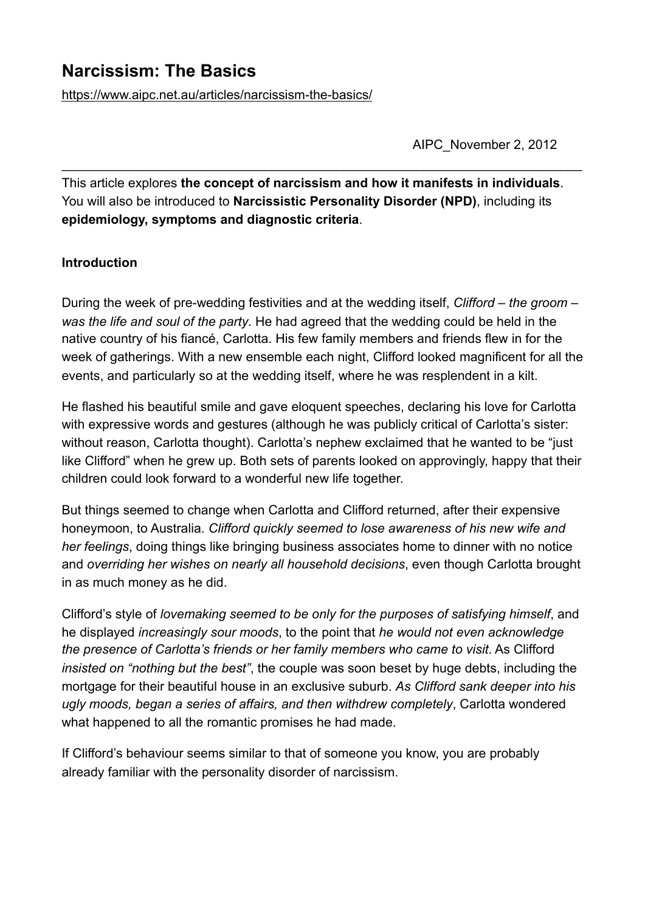# **Narcissism: The Basics**

<https://www.aipc.net.au/articles/narcissism-the-basics/>

AIPC\_November 2, 2012

This article explores **the concept of narcissism and how it manifests in individuals**. You will also be introduced to **Narcissistic Personality Disorder (NPD)**, including its **epidemiology, symptoms and diagnostic criteria**.

 $\_$  , and the contribution of the contribution of  $\mathcal{L}_\mathcal{A}$  , and the contribution of  $\mathcal{L}_\mathcal{A}$ 

#### **Introduction**

During the week of pre-wedding festivities and at the wedding itself, *Clifford – the groom – was the life and soul of the party*. He had agreed that the wedding could be held in the native country of his fiancé, Carlotta. His few family members and friends flew in for the week of gatherings. With a new ensemble each night, Clifford looked magnificent for all the events, and particularly so at the wedding itself, where he was resplendent in a kilt.

He flashed his beautiful smile and gave eloquent speeches, declaring his love for Carlotta with expressive words and gestures (although he was publicly critical of Carlotta's sister: without reason, Carlotta thought). Carlotta's nephew exclaimed that he wanted to be "just like Clifford" when he grew up. Both sets of parents looked on approvingly, happy that their children could look forward to a wonderful new life together.

But things seemed to change when Carlotta and Clifford returned, after their expensive honeymoon, to Australia. *Clifford quickly seemed to lose awareness of his new wife and her feelings*, doing things like bringing business associates home to dinner with no notice and *overriding her wishes on nearly all household decisions*, even though Carlotta brought in as much money as he did.

Clifford's style of *lovemaking seemed to be only for the purposes of satisfying himself*, and he displayed *increasingly sour moods*, to the point that *he would not even acknowledge the presence of Carlotta's friends or her family members who came to visit*. As Clifford *insisted on "nothing but the best"*, the couple was soon beset by huge debts, including the mortgage for their beautiful house in an exclusive suburb. *As Clifford sank deeper into his ugly moods, began a series of affairs, and then withdrew completely*, Carlotta wondered what happened to all the romantic promises he had made.

If Clifford's behaviour seems similar to that of someone you know, you are probably already familiar with the personality disorder of narcissism.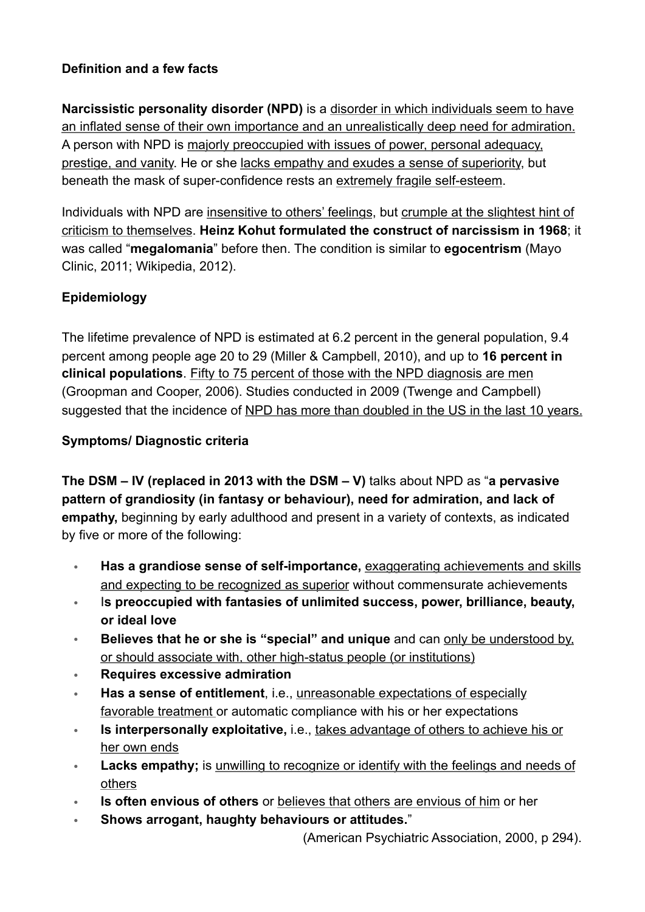# **Definition and a few facts**

**Narcissistic personality disorder (NPD)** is a disorder in which individuals seem to have an inflated sense of their own importance and an unrealistically deep need for admiration. A person with NPD is majorly preoccupied with issues of power, personal adequacy, prestige, and vanity. He or she lacks empathy and exudes a sense of superiority, but beneath the mask of super-confidence rests an extremely fragile self-esteem.

Individuals with NPD are insensitive to others' feelings, but crumple at the slightest hint of criticism to themselves. **Heinz Kohut formulated the construct of narcissism in 1968**; it was called "**megalomania**" before then. The condition is similar to **egocentrism** (Mayo Clinic, 2011; Wikipedia, 2012).

# **Epidemiology**

The lifetime prevalence of NPD is estimated at 6.2 percent in the general population, 9.4 percent among people age 20 to 29 (Miller & Campbell, 2010), and up to **16 percent in clinical populations**. Fifty to 75 percent of those with the NPD diagnosis are men (Groopman and Cooper, 2006). Studies conducted in 2009 (Twenge and Campbell) suggested that the incidence of NPD has more than doubled in the US in the last 10 years.

#### **Symptoms/ Diagnostic criteria**

**The DSM – IV (replaced in 2013 with the DSM – V)** talks about NPD as "**a pervasive pattern of grandiosity (in fantasy or behaviour), need for admiration, and lack of empathy,** beginning by early adulthood and present in a variety of contexts, as indicated by five or more of the following:

- **Has a grandiose sense of self-importance,** exaggerating achievements and skills and expecting to be recognized as superior without commensurate achievements
- I**s preoccupied with fantasies of unlimited success, power, brilliance, beauty, or ideal love**
- **Believes that he or she is "special" and unique** and can only be understood by, or should associate with, other high-status people (or institutions)
- **Requires excessive admiration**
- **Has a sense of entitlement**, i.e., unreasonable expectations of especially favorable treatment or automatic compliance with his or her expectations
- **Is interpersonally exploitative,** i.e., takes advantage of others to achieve his or her own ends
- **Lacks empathy:** is unwilling to recognize or identify with the feelings and needs of others
- **Is often envious of others** or believes that others are envious of him or her
- **Shows arrogant, haughty behaviours or attitudes.**"

(American Psychiatric Association, 2000, p 294).